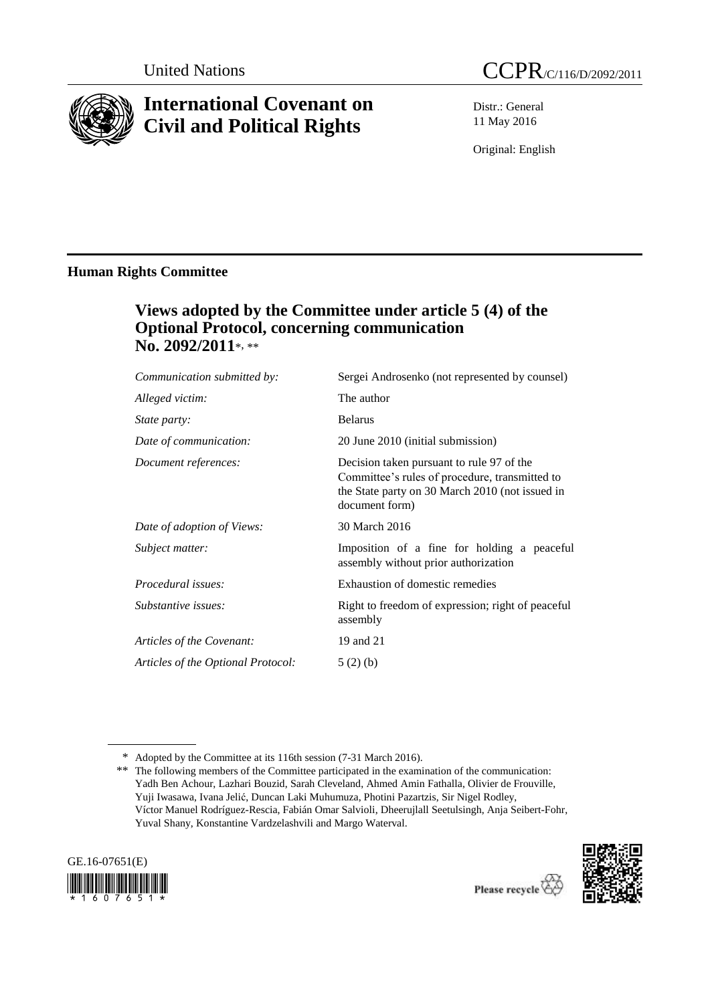

# **International Covenant on Civil and Political Rights**

Distr.: General 11 May 2016

Original: English

# **Human Rights Committee**

# **Views adopted by the Committee under article 5 (4) of the Optional Protocol, concerning communication No. 2092/2011**\*, \*\*

| Sergei Androsenko (not represented by counsel)                                                                                                                   |
|------------------------------------------------------------------------------------------------------------------------------------------------------------------|
| The author                                                                                                                                                       |
| <b>Belarus</b>                                                                                                                                                   |
| 20 June 2010 (initial submission)                                                                                                                                |
| Decision taken pursuant to rule 97 of the<br>Committee's rules of procedure, transmitted to<br>the State party on 30 March 2010 (not issued in<br>document form) |
| 30 March 2016                                                                                                                                                    |
| Imposition of a fine for holding a peaceful<br>assembly without prior authorization                                                                              |
| Exhaustion of domestic remedies                                                                                                                                  |
| Right to freedom of expression; right of peaceful<br>assembly                                                                                                    |
| 19 and 21                                                                                                                                                        |
| 5(2)(b)                                                                                                                                                          |
|                                                                                                                                                                  |

<sup>\*\*</sup> The following members of the Committee participated in the examination of the communication: Yadh Ben Achour, Lazhari Bouzid, Sarah Cleveland, Ahmed Amin Fathalla, Olivier de Frouville, Yuji Iwasawa, Ivana Jelić, Duncan Laki Muhumuza, Photini Pazartzis, Sir Nigel Rodley, Víctor Manuel Rodríguez-Rescia, Fabián Omar Salvioli, Dheerujlall Seetulsingh, Anja Seibert-Fohr, Yuval Shany, Konstantine Vardzelashvili and Margo Waterval.





<sup>\*</sup> Adopted by the Committee at its 116th session (7-31 March 2016).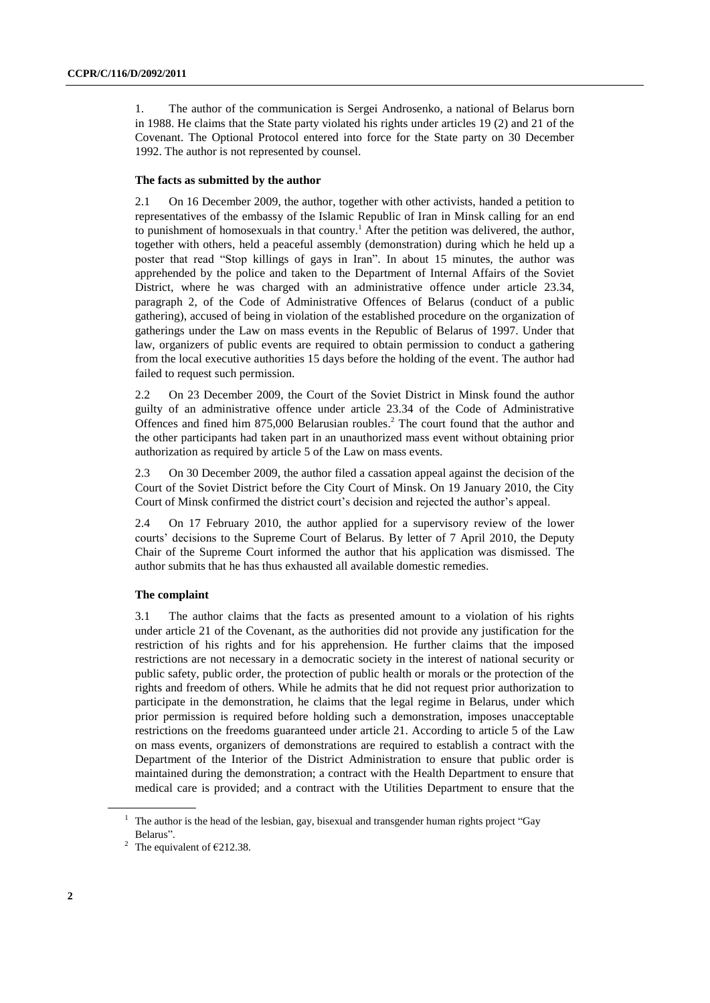1. The author of the communication is Sergei Androsenko, a national of Belarus born in 1988. He claims that the State party violated his rights under articles 19 (2) and 21 of the Covenant. The Optional Protocol entered into force for the State party on 30 December 1992. The author is not represented by counsel.

#### **The facts as submitted by the author**

2.1 On 16 December 2009, the author, together with other activists, handed a petition to representatives of the embassy of the Islamic Republic of Iran in Minsk calling for an end to punishment of homosexuals in that country. <sup>1</sup> After the petition was delivered, the author, together with others, held a peaceful assembly (demonstration) during which he held up a poster that read "Stop killings of gays in Iran". In about 15 minutes, the author was apprehended by the police and taken to the Department of Internal Affairs of the Soviet District, where he was charged with an administrative offence under article 23.34, paragraph 2, of the Code of Administrative Offences of Belarus (conduct of a public gathering), accused of being in violation of the established procedure on the organization of gatherings under the Law on mass events in the Republic of Belarus of 1997. Under that law, organizers of public events are required to obtain permission to conduct a gathering from the local executive authorities 15 days before the holding of the event. The author had failed to request such permission.

2.2 On 23 December 2009, the Court of the Soviet District in Minsk found the author guilty of an administrative offence under article 23.34 of the Code of Administrative Offences and fined him 875,000 Belarusian roubles. <sup>2</sup> The court found that the author and the other participants had taken part in an unauthorized mass event without obtaining prior authorization as required by article 5 of the Law on mass events.

2.3 On 30 December 2009, the author filed a cassation appeal against the decision of the Court of the Soviet District before the City Court of Minsk. On 19 January 2010, the City Court of Minsk confirmed the district court's decision and rejected the author's appeal.

2.4 On 17 February 2010, the author applied for a supervisory review of the lower courts' decisions to the Supreme Court of Belarus. By letter of 7 April 2010, the Deputy Chair of the Supreme Court informed the author that his application was dismissed. The author submits that he has thus exhausted all available domestic remedies.

## **The complaint**

3.1 The author claims that the facts as presented amount to a violation of his rights under article 21 of the Covenant, as the authorities did not provide any justification for the restriction of his rights and for his apprehension. He further claims that the imposed restrictions are not necessary in a democratic society in the interest of national security or public safety, public order, the protection of public health or morals or the protection of the rights and freedom of others. While he admits that he did not request prior authorization to participate in the demonstration, he claims that the legal regime in Belarus, under which prior permission is required before holding such a demonstration, imposes unacceptable restrictions on the freedoms guaranteed under article 21. According to article 5 of the Law on mass events, organizers of demonstrations are required to establish a contract with the Department of the Interior of the District Administration to ensure that public order is maintained during the demonstration; a contract with the Health Department to ensure that medical care is provided; and a contract with the Utilities Department to ensure that the

<sup>&</sup>lt;sup>1</sup> The author is the head of the lesbian, gay, bisexual and transgender human rights project "Gay Belarus".

<sup>&</sup>lt;sup>2</sup> The equivalent of  $\epsilon$ 212.38.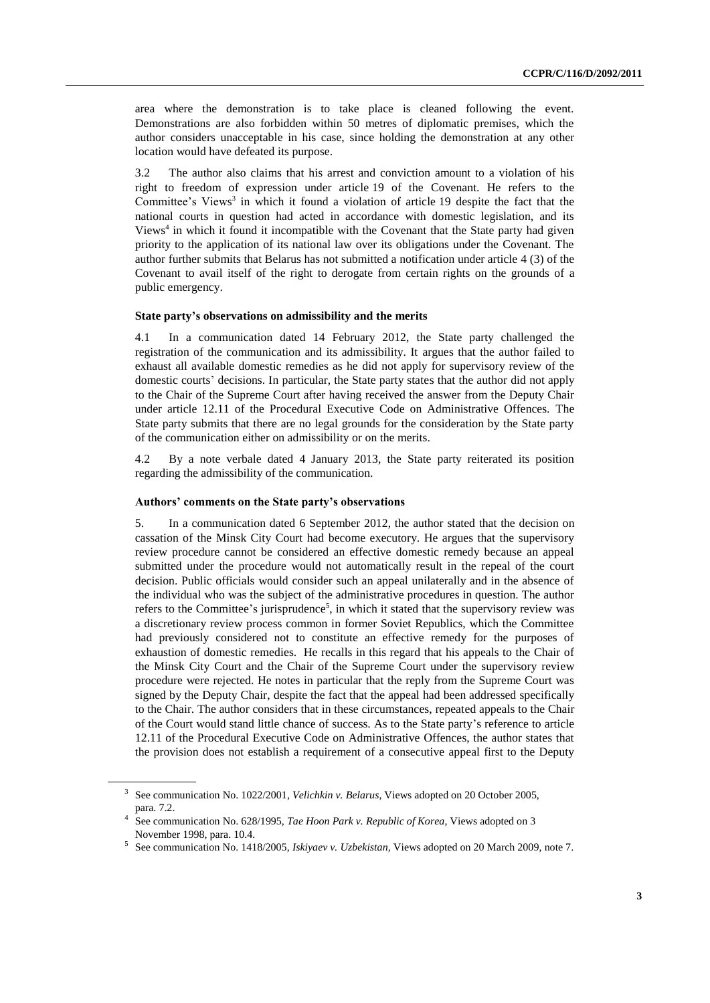area where the demonstration is to take place is cleaned following the event. Demonstrations are also forbidden within 50 metres of diplomatic premises, which the author considers unacceptable in his case, since holding the demonstration at any other location would have defeated its purpose.

3.2 The author also claims that his arrest and conviction amount to a violation of his right to freedom of expression under article 19 of the Covenant. He refers to the Committee's Views<sup>3</sup> in which it found a violation of article 19 despite the fact that the national courts in question had acted in accordance with domestic legislation, and its Views<sup>4</sup> in which it found it incompatible with the Covenant that the State party had given priority to the application of its national law over its obligations under the Covenant. The author further submits that Belarus has not submitted a notification under article 4 (3) of the Covenant to avail itself of the right to derogate from certain rights on the grounds of a public emergency.

#### **State party's observations on admissibility and the merits**

4.1 In a communication dated 14 February 2012, the State party challenged the registration of the communication and its admissibility. It argues that the author failed to exhaust all available domestic remedies as he did not apply for supervisory review of the domestic courts' decisions. In particular, the State party states that the author did not apply to the Chair of the Supreme Court after having received the answer from the Deputy Chair under article 12.11 of the Procedural Executive Code on Administrative Offences. The State party submits that there are no legal grounds for the consideration by the State party of the communication either on admissibility or on the merits.

4.2 By a note verbale dated 4 January 2013, the State party reiterated its position regarding the admissibility of the communication.

### **Authors' comments on the State party's observations**

5. In a communication dated 6 September 2012, the author stated that the decision on cassation of the Minsk City Court had become executory. He argues that the supervisory review procedure cannot be considered an effective domestic remedy because an appeal submitted under the procedure would not automatically result in the repeal of the court decision. Public officials would consider such an appeal unilaterally and in the absence of the individual who was the subject of the administrative procedures in question. The author refers to the Committee's jurisprudence<sup>5</sup>, in which it stated that the supervisory review was a discretionary review process common in former Soviet Republics, which the Committee had previously considered not to constitute an effective remedy for the purposes of exhaustion of domestic remedies. He recalls in this regard that his appeals to the Chair of the Minsk City Court and the Chair of the Supreme Court under the supervisory review procedure were rejected. He notes in particular that the reply from the Supreme Court was signed by the Deputy Chair, despite the fact that the appeal had been addressed specifically to the Chair. The author considers that in these circumstances, repeated appeals to the Chair of the Court would stand little chance of success. As to the State party's reference to article 12.11 of the Procedural Executive Code on Administrative Offences, the author states that the provision does not establish a requirement of a consecutive appeal first to the Deputy

<sup>3</sup> See communication No. 1022/2001, *Velichkin v. Belarus*, Views adopted on 20 October 2005, para. 7.2.

<sup>4</sup> See communication No. 628/1995, *Tae Hoon Park v. Republic of Korea*, Views adopted on 3 November 1998, para. 10.4.

<sup>5</sup> See communication No. 1418/2005, *Iskiyaev v. Uzbekistan,* Views adopted on 20 March 2009, note 7.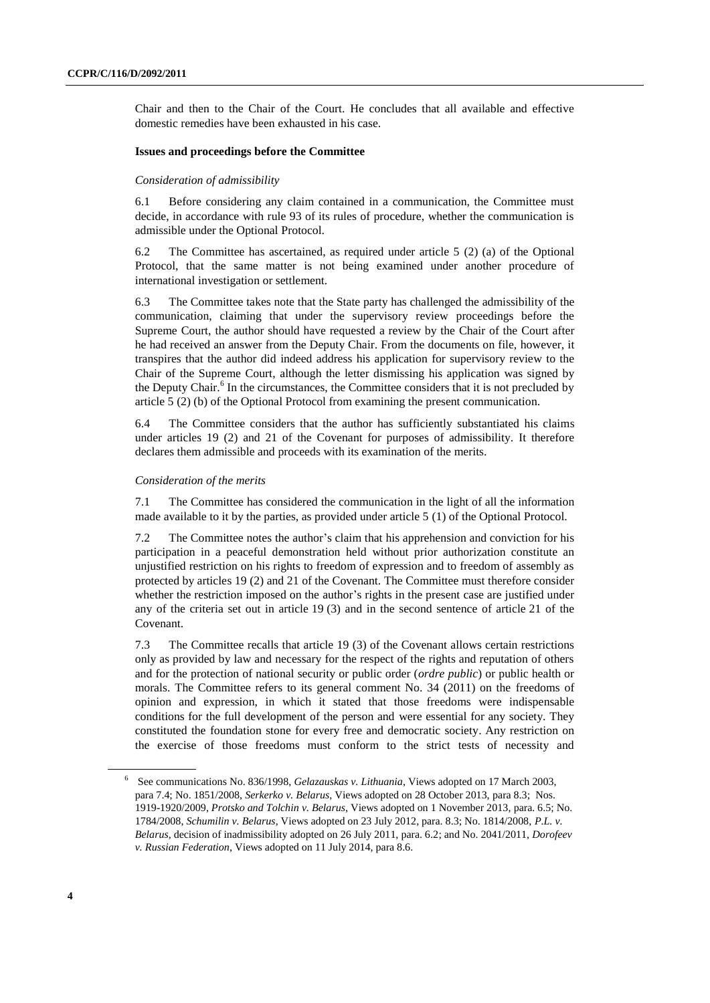Chair and then to the Chair of the Court. He concludes that all available and effective domestic remedies have been exhausted in his case.

### **Issues and proceedings before the Committee**

#### *Consideration of admissibility*

6.1 Before considering any claim contained in a communication, the Committee must decide, in accordance with rule 93 of its rules of procedure, whether the communication is admissible under the Optional Protocol.

6.2 The Committee has ascertained, as required under article 5 (2) (a) of the Optional Protocol, that the same matter is not being examined under another procedure of international investigation or settlement.

6.3 The Committee takes note that the State party has challenged the admissibility of the communication, claiming that under the supervisory review proceedings before the Supreme Court, the author should have requested a review by the Chair of the Court after he had received an answer from the Deputy Chair. From the documents on file, however, it transpires that the author did indeed address his application for supervisory review to the Chair of the Supreme Court, although the letter dismissing his application was signed by the Deputy Chair.<sup>6</sup> In the circumstances, the Committee considers that it is not precluded by article 5 (2) (b) of the Optional Protocol from examining the present communication.

6.4 The Committee considers that the author has sufficiently substantiated his claims under articles 19 (2) and 21 of the Covenant for purposes of admissibility. It therefore declares them admissible and proceeds with its examination of the merits.

#### *Consideration of the merits*

7.1 The Committee has considered the communication in the light of all the information made available to it by the parties, as provided under article 5 (1) of the Optional Protocol.

7.2 The Committee notes the author's claim that his apprehension and conviction for his participation in a peaceful demonstration held without prior authorization constitute an unjustified restriction on his rights to freedom of expression and to freedom of assembly as protected by articles 19 (2) and 21 of the Covenant. The Committee must therefore consider whether the restriction imposed on the author's rights in the present case are justified under any of the criteria set out in article 19 (3) and in the second sentence of article 21 of the Covenant.

7.3 The Committee recalls that article 19 (3) of the Covenant allows certain restrictions only as provided by law and necessary for the respect of the rights and reputation of others and for the protection of national security or public order (*ordre public*) or public health or morals. The Committee refers to its general comment No. 34 (2011) on the freedoms of opinion and expression, in which it stated that those freedoms were indispensable conditions for the full development of the person and were essential for any society. They constituted the foundation stone for every free and democratic society. Any restriction on the exercise of those freedoms must conform to the strict tests of necessity and

<sup>6</sup> See communications No. 836/1998, *Gelazauskas v. Lithuania*, Views adopted on 17 March 2003, para 7.4; No. 1851/2008, *Serkerko v. Belarus*, Views adopted on 28 October 2013, para 8.3; Nos. 1919-1920/2009, *Protsko and Tolchin v. Belarus*, Views adopted on 1 November 2013, para. 6.5; No. 1784/2008, *Schumilin v. Belarus*, Views adopted on 23 July 2012, para. 8.3; No. 1814/2008, *P.L. v. Belarus*, decision of inadmissibility adopted on 26 July 2011, para. 6.2; and No. 2041/2011, *Dorofeev v. Russian Federation*, Views adopted on 11 July 2014, para 8.6.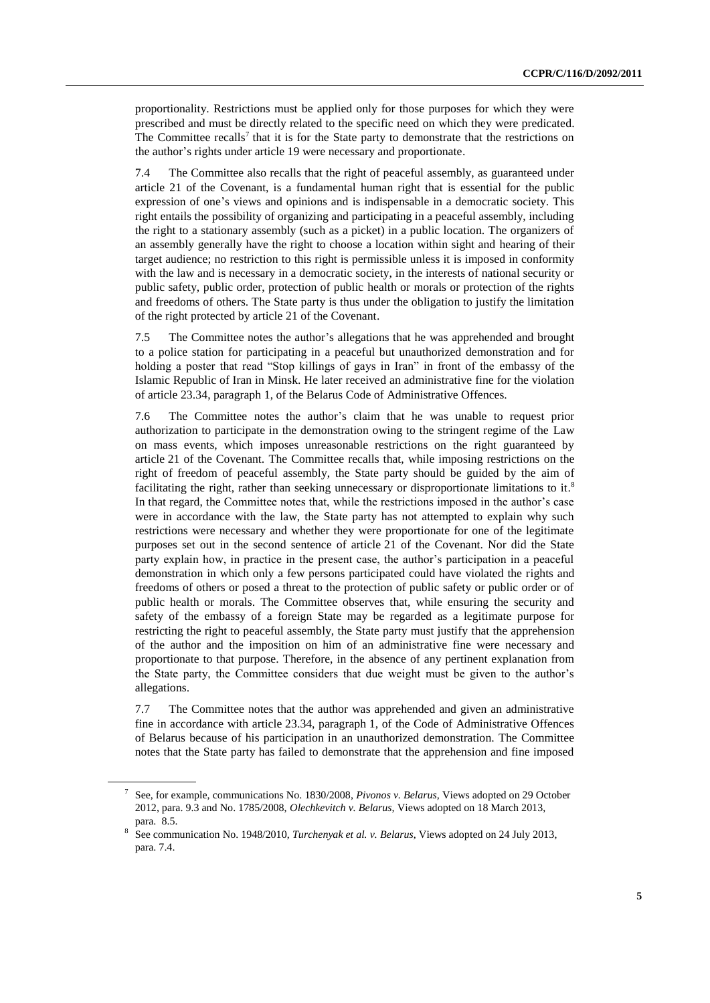proportionality. Restrictions must be applied only for those purposes for which they were prescribed and must be directly related to the specific need on which they were predicated. The Committee recalls<sup>7</sup> that it is for the State party to demonstrate that the restrictions on the author's rights under article 19 were necessary and proportionate.

7.4 The Committee also recalls that the right of peaceful assembly, as guaranteed under article 21 of the Covenant, is a fundamental human right that is essential for the public expression of one's views and opinions and is indispensable in a democratic society. This right entails the possibility of organizing and participating in a peaceful assembly, including the right to a stationary assembly (such as a picket) in a public location. The organizers of an assembly generally have the right to choose a location within sight and hearing of their target audience; no restriction to this right is permissible unless it is imposed in conformity with the law and is necessary in a democratic society, in the interests of national security or public safety, public order, protection of public health or morals or protection of the rights and freedoms of others. The State party is thus under the obligation to justify the limitation of the right protected by article 21 of the Covenant.

7.5 The Committee notes the author's allegations that he was apprehended and brought to a police station for participating in a peaceful but unauthorized demonstration and for holding a poster that read "Stop killings of gays in Iran" in front of the embassy of the Islamic Republic of Iran in Minsk. He later received an administrative fine for the violation of article 23.34, paragraph 1, of the Belarus Code of Administrative Offences.

7.6 The Committee notes the author's claim that he was unable to request prior authorization to participate in the demonstration owing to the stringent regime of the Law on mass events, which imposes unreasonable restrictions on the right guaranteed by article 21 of the Covenant. The Committee recalls that, while imposing restrictions on the right of freedom of peaceful assembly, the State party should be guided by the aim of facilitating the right, rather than seeking unnecessary or disproportionate limitations to it.<sup>8</sup> In that regard, the Committee notes that, while the restrictions imposed in the author's case were in accordance with the law, the State party has not attempted to explain why such restrictions were necessary and whether they were proportionate for one of the legitimate purposes set out in the second sentence of article 21 of the Covenant. Nor did the State party explain how, in practice in the present case, the author's participation in a peaceful demonstration in which only a few persons participated could have violated the rights and freedoms of others or posed a threat to the protection of public safety or public order or of public health or morals. The Committee observes that, while ensuring the security and safety of the embassy of a foreign State may be regarded as a legitimate purpose for restricting the right to peaceful assembly, the State party must justify that the apprehension of the author and the imposition on him of an administrative fine were necessary and proportionate to that purpose. Therefore, in the absence of any pertinent explanation from the State party, the Committee considers that due weight must be given to the author's allegations.

7.7 The Committee notes that the author was apprehended and given an administrative fine in accordance with article 23.34, paragraph 1, of the Code of Administrative Offences of Belarus because of his participation in an unauthorized demonstration. The Committee notes that the State party has failed to demonstrate that the apprehension and fine imposed

<sup>7</sup> See, for example, communications No. 1830/2008, *Pivonos v. Belarus,* Views adopted on 29 October 2012, para. 9.3 and No. 1785/2008, *Olechkevitch v. Belarus,* Views adopted on 18 March 2013, para. 8.5.

<sup>8</sup> See communication No. 1948/2010, *Turchenyak et al. v. Belarus*, Views adopted on 24 July 2013, para. 7.4.